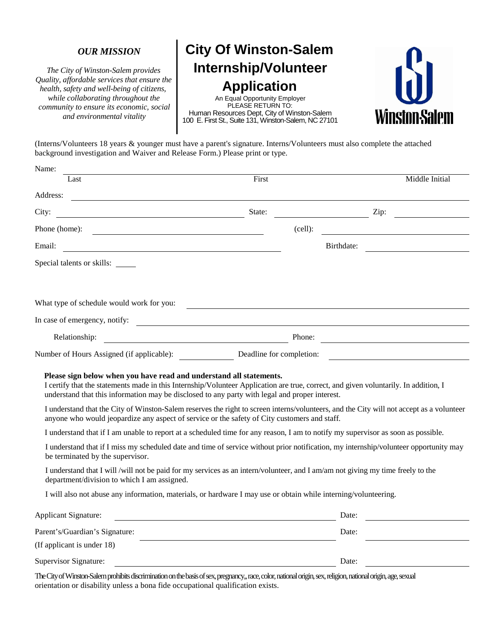#### *OUR MISSION*

*The City of Winston-Salem provides Quality, affordable services that ensure the health, safety and well-being of citizens, while collaborating throughout the community to ensure its economic, social and environmental vitality*

# **City Of Winston-Salem Internship/Volunteer Application**

An Equal Opportunity Employer PLEASE RETURN TO: Human Resources Dept, City of Winston-Salem 100 E. First St., Suite 131, Winston-Salem, NC 27101



(Interns/Volunteers 18 years & younger must have a parent's signature. Interns/Volunteers must also complete the attached background investigation and Waiver and Release Form.) Please print or type.

| Name:                                                                                                                                                                                                                                                                                                                                                                                                                                                     |                                                                                                                       |            |            |                |  |
|-----------------------------------------------------------------------------------------------------------------------------------------------------------------------------------------------------------------------------------------------------------------------------------------------------------------------------------------------------------------------------------------------------------------------------------------------------------|-----------------------------------------------------------------------------------------------------------------------|------------|------------|----------------|--|
| Last                                                                                                                                                                                                                                                                                                                                                                                                                                                      | First                                                                                                                 |            |            | Middle Initial |  |
| Address:                                                                                                                                                                                                                                                                                                                                                                                                                                                  |                                                                                                                       |            |            |                |  |
| City:                                                                                                                                                                                                                                                                                                                                                                                                                                                     | State:                                                                                                                |            |            | Zip:           |  |
| Phone (home):<br><u> 1980 - Johann Barn, mars ann an t-Amhain Aonaich an t-Aonaich an t-Aonaich ann an t-Aonaich ann an t-Aonaich</u>                                                                                                                                                                                                                                                                                                                     |                                                                                                                       | $(cell)$ : |            |                |  |
| Email:                                                                                                                                                                                                                                                                                                                                                                                                                                                    |                                                                                                                       |            | Birthdate: |                |  |
| Special talents or skills:                                                                                                                                                                                                                                                                                                                                                                                                                                |                                                                                                                       |            |            |                |  |
|                                                                                                                                                                                                                                                                                                                                                                                                                                                           |                                                                                                                       |            |            |                |  |
| What type of schedule would work for you:                                                                                                                                                                                                                                                                                                                                                                                                                 |                                                                                                                       |            |            |                |  |
| In case of emergency, notify:<br><u> 1989 - Johann Barbara, martin amerikan basal dan berasal dan berasal dalam basal dan berasal dan berasal dan</u>                                                                                                                                                                                                                                                                                                     |                                                                                                                       |            |            |                |  |
| Relationship:<br><u> 1980 - Johann Barbara, martxa alemaniar a</u>                                                                                                                                                                                                                                                                                                                                                                                        |                                                                                                                       | Phone:     |            |                |  |
| Number of Hours Assigned (if applicable): Deadline for completion:                                                                                                                                                                                                                                                                                                                                                                                        |                                                                                                                       |            |            |                |  |
| Please sign below when you have read and understand all statements.<br>I certify that the statements made in this Internship/Volunteer Application are true, correct, and given voluntarily. In addition, I<br>understand that this information may be disclosed to any party with legal and proper interest.<br>I understand that the City of Winston-Salem reserves the right to screen interns/volunteers, and the City will not accept as a volunteer |                                                                                                                       |            |            |                |  |
| anyone who would jeopardize any aspect of service or the safety of City customers and staff.                                                                                                                                                                                                                                                                                                                                                              |                                                                                                                       |            |            |                |  |
| I understand that if I am unable to report at a scheduled time for any reason, I am to notify my supervisor as soon as possible.                                                                                                                                                                                                                                                                                                                          |                                                                                                                       |            |            |                |  |
| I understand that if I miss my scheduled date and time of service without prior notification, my internship/volunteer opportunity may<br>be terminated by the supervisor.                                                                                                                                                                                                                                                                                 |                                                                                                                       |            |            |                |  |
| I understand that I will /will not be paid for my services as an intern/volunteer, and I am/am not giving my time freely to the<br>department/division to which I am assigned.                                                                                                                                                                                                                                                                            |                                                                                                                       |            |            |                |  |
| I will also not abuse any information, materials, or hardware I may use or obtain while interning/volunteering.                                                                                                                                                                                                                                                                                                                                           |                                                                                                                       |            |            |                |  |
| Applicant Signature:                                                                                                                                                                                                                                                                                                                                                                                                                                      | <u> 1989 - Johann Harry Harry Harry Harry Harry Harry Harry Harry Harry Harry Harry Harry Harry Harry Harry Harry</u> |            | Date:      |                |  |
| Parent's/Guardian's Signature:                                                                                                                                                                                                                                                                                                                                                                                                                            |                                                                                                                       |            | Date:      |                |  |
| (If applicant is under 18)                                                                                                                                                                                                                                                                                                                                                                                                                                |                                                                                                                       |            |            |                |  |
| Supervisor Signature:                                                                                                                                                                                                                                                                                                                                                                                                                                     |                                                                                                                       |            | Date:      |                |  |

The City of Winston-Salem prohibits discrimination on the basis of sex, pregnancy,, race, color, national origin, sex, religion, national origin,age, sexual orientation or disability unless a bona fide occupational qualification exists.